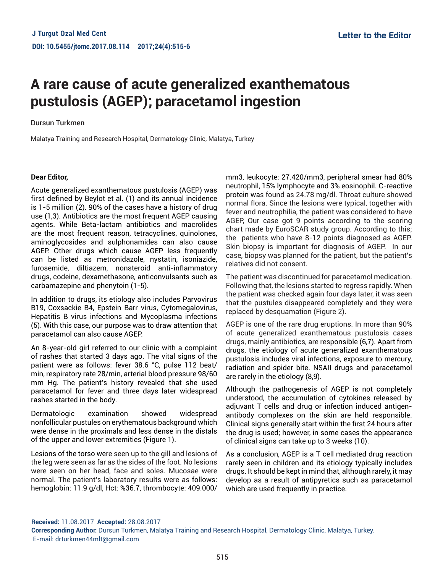# **A rare cause of acute generalized exanthematous pustulosis (AGEP); paracetamol ingestion**

#### Dursun Turkmen

Malatya Training and Research Hospital, Dermatology Clinic, Malatya, Turkey

#### **Dear Editor,**

Acute generalized exanthematous pustulosis (AGEP) was first defined by Beylot et al. (1) and its annual incidence is 1-5 million (2). 90% of the cases have a history of drug use (1,3). Antibiotics are the most frequent AGEP causing agents. While Beta-lactam antibiotics and macrolides are the most frequent reason, tetracyclines, quinolones, aminoglycosides and sulphonamides can also cause AGEP. Other drugs which cause AGEP less frequently can be listed as metronidazole, nystatin, isoniazide, furosemide, diltiazem, nonsteroid anti-inflammatory drugs, codeine, dexamethasone, anticonvulsants such as carbamazepine and phenytoin (1-5).

In addition to drugs, its etiology also includes Parvovirus B19, Coxsackie B4, Epstein Barr virus, Cytomegalovirus, Hepatitis B virus infections and Mycoplasma infections (5). With this case, our purpose was to draw attention that paracetamol can also cause AGEP.

An 8-year-old girl referred to our clinic with a complaint of rashes that started 3 days ago. The vital signs of the patient were as follows: fever 38.6 °C, pulse 112 beat/ min, respiratory rate 28/min, arterial blood pressure 98/60 mm Hg. The patient's history revealed that she used paracetamol for fever and three days later widespread rashes started in the body.

Dermatologic examination showed widespread nonfollicular pustules on erythematous background which were dense in the proximals and less dense in the distals of the upper and lower extremities (Figure 1).

Lesions of the torso were seen up to the gill and lesions of the leg were seen as far as the sides of the foot. No lesions were seen on her head, face and soles. Mucosae were normal. The patient's laboratory results were as follows: hemoglobin: 11.9 g/dl, Hct: %36.7, thrombocyte: 409.000/

mm3, leukocyte: 27.420/mm3, peripheral smear had 80% neutrophil, 15% lymphocyte and 3% eosinophil. C-reactive protein was found as 24.78 mg/dl. Throat culture showed normal flora. Since the lesions were typical, together with fever and neutrophilia, the patient was considered to have AGEP, Our case got 9 points according to the scoring chart made by EuroSCAR study group. According to this; the patients who have 8-12 points diagnosed as AGEP. Skin biopsy is important for diagnosis of AGEP. In our case, biopsy was planned for the patient, but the patient's relatives did not consent.

The patient was discontinued for paracetamol medication. Following that, the lesions started to regress rapidly. When the patient was checked again four days later, it was seen that the pustules disappeared completely and they were replaced by desquamation (Figure 2).

AGEP is one of the rare drug eruptions. In more than 90% of acute generalized exanthematous pustulosis cases drugs, mainly antibiotics, are responsible (6,7). Apart from drugs, the etiology of acute generalized exanthematous pustulosis includes viral infections, exposure to mercury, radiation and spider bite. NSAII drugs and paracetamol are rarely in the etiology (8,9).

Although the pathogenesis of AGEP is not completely understood, the accumulation of cytokines released by adjuvant T cells and drug or infection induced antigenantibody complexes on the skin are held responsible. Clinical signs generally start within the first 24 hours after the drug is used; however, in some cases the appearance of clinical signs can take up to 3 weeks (10).

As a conclusion, AGEP is a T cell mediated drug reaction rarely seen in children and its etiology typically includes drugs. It should be kept in mind that, although rarely, it may develop as a result of antipyretics such as paracetamol which are used frequently in practice.

**Received:** 11.08.2017 **Accepted:** 28.08.2017

**Corresponding Author:** Dursun Turkmen, Malatya Training and Research Hospital, Dermatology Clinic, Malatya, Turkey. E-mail: drturkmen44mlt@gmail.com